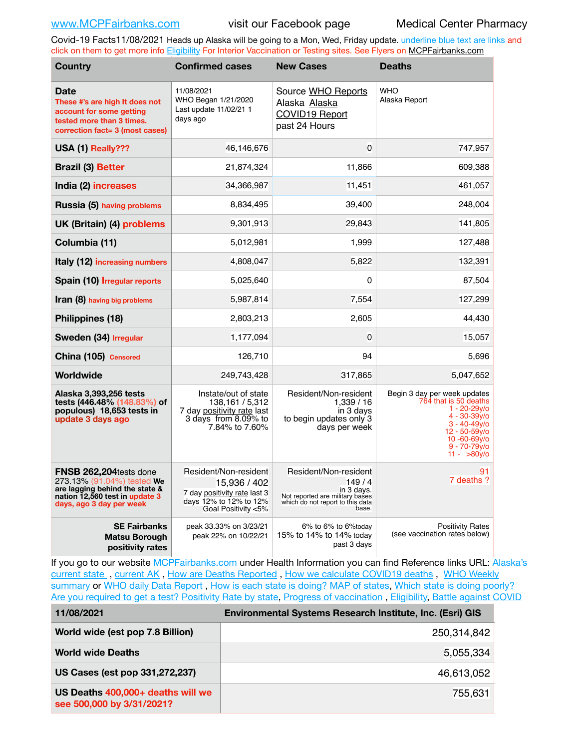Covid-19 Facts11/08/2021 Heads up Alaska will be going to a Mon, Wed, Friday update. underline blue text are links and click on them to get more info [Eligibility](http://dhss.alaska.gov/dph/Epi/id/Pages/COVID-19/VaccineAvailability.aspx) For Interior Vaccination or Testing sites. See Flyers on [MCPFairbanks.com](http://www.MCPFairbanks.com)

| <b>Country</b>                                                                                                                                       | <b>Confirmed cases</b>                                                                                                 | <b>New Cases</b>                                                                                                             | <b>Deaths</b>                                                                                                                                                                                            |  |
|------------------------------------------------------------------------------------------------------------------------------------------------------|------------------------------------------------------------------------------------------------------------------------|------------------------------------------------------------------------------------------------------------------------------|----------------------------------------------------------------------------------------------------------------------------------------------------------------------------------------------------------|--|
| <b>Date</b><br>These #'s are high It does not<br>account for some getting<br>tested more than 3 times.<br>correction fact= 3 (most cases)            | 11/08/2021<br>WHO Began 1/21/2020<br>Last update 11/02/21 1<br>days ago                                                | Source WHO Reports<br>Alaska Alaska<br>COVID19 Report<br>past 24 Hours                                                       | <b>WHO</b><br>Alaska Report                                                                                                                                                                              |  |
| USA (1) Really???                                                                                                                                    | 46,146,676                                                                                                             | $\mathbf 0$                                                                                                                  | 747,957                                                                                                                                                                                                  |  |
| <b>Brazil (3) Better</b>                                                                                                                             | 21,874,324                                                                                                             | 11,866                                                                                                                       | 609,388                                                                                                                                                                                                  |  |
| India (2) increases                                                                                                                                  | 34,366,987                                                                                                             | 11,451                                                                                                                       | 461,057                                                                                                                                                                                                  |  |
| Russia (5) having problems                                                                                                                           | 8,834,495                                                                                                              | 39,400                                                                                                                       | 248,004                                                                                                                                                                                                  |  |
| UK (Britain) (4) problems                                                                                                                            | 9,301,913                                                                                                              | 29,843                                                                                                                       | 141,805                                                                                                                                                                                                  |  |
| Columbia (11)                                                                                                                                        | 5,012,981                                                                                                              | 1,999                                                                                                                        | 127,488                                                                                                                                                                                                  |  |
| Italy (12) increasing numbers                                                                                                                        | 4,808,047                                                                                                              | 5,822                                                                                                                        | 132,391                                                                                                                                                                                                  |  |
| Spain (10) Irregular reports                                                                                                                         | 5,025,640                                                                                                              | 0                                                                                                                            | 87,504                                                                                                                                                                                                   |  |
| Iran (8) having big problems                                                                                                                         | 5,987,814                                                                                                              | 7,554                                                                                                                        | 127,299                                                                                                                                                                                                  |  |
| Philippines (18)                                                                                                                                     | 2,803,213                                                                                                              | 2,605                                                                                                                        | 44,430                                                                                                                                                                                                   |  |
| Sweden (34) Irregular                                                                                                                                | 1,177,094                                                                                                              | 0                                                                                                                            | 15,057                                                                                                                                                                                                   |  |
| China (105) Censored                                                                                                                                 | 126,710                                                                                                                | 94                                                                                                                           | 5,696                                                                                                                                                                                                    |  |
| Worldwide                                                                                                                                            | 249,743,428                                                                                                            | 317,865                                                                                                                      | 5,047,652                                                                                                                                                                                                |  |
| Alaska 3,393,256 tests<br>tests (446.48% (148.83%) of<br>populous) 18,653 tests in<br>update 3 days ago                                              | Instate/out of state<br>138,161 / 5,312<br>7 day positivity rate last<br>3 days from 8.09% to<br>7.84% to 7.60%        | Resident/Non-resident<br>1,339 / 16<br>in 3 days<br>to begin updates only 3<br>days per week                                 | Begin 3 day per week updates<br>764 that is 50 deaths<br>1 - 20-29v/o<br>$4 - 30 - 39y/6$<br>$3 - 40 - 49v$<br>$12 - 50 - 59y/6$<br>$10 - 60 - 69$ y/o<br>$9 - 70 - 79$ <sub>V</sub> /o<br>$11 - 80v$ /o |  |
| FNSB 262,204tests done<br>273.13% (91.04%) tested We<br>are lagging behind the state &<br>nation 12,560 test in update 3<br>days, ago 3 day per week | Resident/Non-resident<br>15,936 / 402<br>7 day positivity rate last 3<br>days 12% to 12% to 12%<br>Goal Positivity <5% | Resident/Non-resident<br>149/4<br>in 3 days.<br>Not reported are military bases<br>which do not report to this data<br>base. | 91<br>7 deaths ?                                                                                                                                                                                         |  |
| <b>SE Fairbanks</b><br><b>Matsu Borough</b><br>positivity rates                                                                                      | peak 33.33% on 3/23/21<br>peak 22% on 10/22/21                                                                         | 6% to 6% to 6% today<br>15% to 14% to 14% today<br>past 3 days                                                               | <b>Positivity Rates</b><br>(see vaccination rates below)                                                                                                                                                 |  |

If you go to our website [MCPFairbanks.com](http://www.MCPFairbanks.com) under Health Information you can find Reference links URL: Alaska's [current state](https://coronavirus-response-alaska-dhss.hub.arcgis.com) , [current AK](http://dhss.alaska.gov/dph/Epi/id/Pages/COVID-19/communications.aspx#cases) , [How are Deaths Reported](http://dhss.alaska.gov/dph/Epi/id/Pages/COVID-19/deathcounts.aspx) , [How we calculate COVID19 deaths](https://coronavirus-response-alaska-dhss.hub.arcgis.com/search?collection=Document&groupIds=41ccb3344ebc4bd682c74073eba21f42) , [WHO Weekly](http://www.who.int)  [summary](http://www.who.int) or [WHO daily Data Report](https://covid19.who.int/table), [How is each state is doing?](https://www.msn.com/en-us/news/us/state-by-state-coronavirus-news/ar-BB13E1PX?fbclid=IwAR0_OBJH7lSyTN3ug_MsOeFnNgB1orTa9OBgilKJ7dhnwlVvHEsptuKkj1c) [MAP of states,](https://www.nationalgeographic.com/science/graphics/graphic-tracking-coronavirus-infections-us?cmpid=org=ngp::mc=crm-email::src=ngp::cmp=editorial::add=SpecialEdition_20210305&rid=B9A6DF5992658E8E35CE023113CFEA4C) [Which state is doing poorly?](https://bestlifeonline.com/covid-outbreak-your-state/?utm_source=nsltr&utm_medium=email&utm_content=covid-outbreak-your-state&utm_campaign=launch) [Are you required to get a test?](http://dhss.alaska.gov/dph/Epi/id/SiteAssets/Pages/HumanCoV/Whattodoafteryourtest.pdf) [Positivity Rate by state](https://coronavirus.jhu.edu/testing/individual-states/alaska), Progress of vaccination, [Eligibility,](http://dhss.alaska.gov/dph/Epi/id/Pages/COVID-19/VaccineAvailability.aspx) [Battle against COVID](https://www.nationalgeographic.com/science/graphics/graphic-tracking-coronavirus-infections-us?cmpid=org=ngp::mc=crm-email::src=ngp::cmp=editorial::add=SpecialEdition_20210219&rid=B9A6DF5992658E8E35CE023113CFEA4C)

| 11/08/2021                                                     | Environmental Systems Research Institute, Inc. (Esri) GIS |
|----------------------------------------------------------------|-----------------------------------------------------------|
| World wide (est pop 7.8 Billion)                               | 250,314,842                                               |
| <b>World wide Deaths</b>                                       | 5,055,334                                                 |
| US Cases (est pop 331,272,237)                                 | 46,613,052                                                |
| US Deaths 400,000+ deaths will we<br>see 500,000 by 3/31/2021? | 755,631                                                   |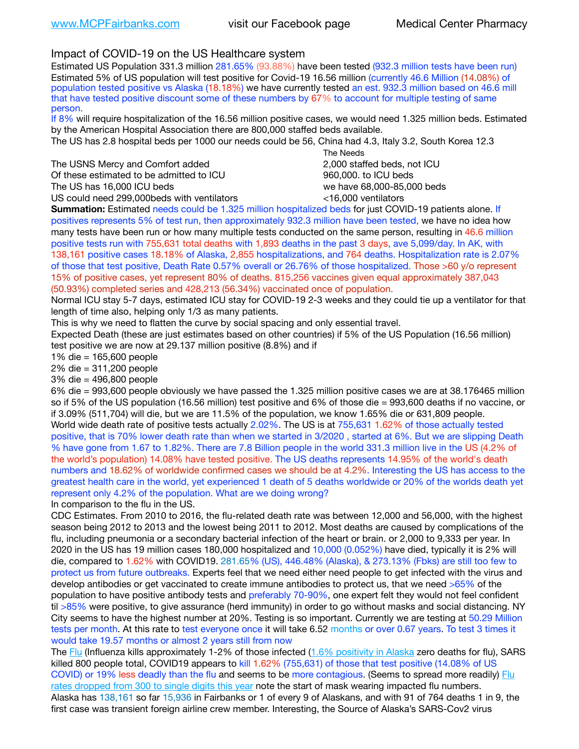## Impact of COVID-19 on the US Healthcare system

Estimated US Population 331.3 million 281.65% (93.88%) have been tested (932.3 million tests have been run) Estimated 5% of US population will test positive for Covid-19 16.56 million (currently 46.6 Million (14.08%) of population tested positive vs Alaska (18.18%) we have currently tested an est. 932.3 million based on 46.6 mill that have tested positive discount some of these numbers by 67% to account for multiple testing of same person.

If 8% will require hospitalization of the 16.56 million positive cases, we would need 1.325 million beds. Estimated by the American Hospital Association there are 800,000 staffed beds available.

The US has 2.8 hospital beds per 1000 our needs could be 56, China had 4.3, Italy 3.2, South Korea 12.3

The USNS Mercy and Comfort added 2,000 staffed beds, not ICU Of these estimated to be admitted to ICU **beds** and the set of the set of the 960,000, to ICU beds

 The Needs The US has 16,000 ICU beds we have 68,000-85,000 beds US could need 299,000 beds with ventilators  $\leq$ 16,000 ventilators

**Summation:** Estimated needs could be 1.325 million hospitalized beds for just COVID-19 patients alone. If positives represents 5% of test run, then approximately 932.3 million have been tested, we have no idea how many tests have been run or how many multiple tests conducted on the same person, resulting in 46.6 million positive tests run with 755,631 total deaths with 1,893 deaths in the past 3 days, ave 5,099/day. In AK, with 138,161 positive cases 18.18% of Alaska, 2,855 hospitalizations, and 764 deaths. Hospitalization rate is 2.07% of those that test positive, Death Rate 0.57% overall or 26.76% of those hospitalized. Those >60 y/o represent 15% of positive cases, yet represent 80% of deaths. 815,256 vaccines given equal approximately 387,043 (50.93%) completed series and 428,213 (56.34%) vaccinated once of population.

Normal ICU stay 5-7 days, estimated ICU stay for COVID-19 2-3 weeks and they could tie up a ventilator for that length of time also, helping only 1/3 as many patients.

This is why we need to flatten the curve by social spacing and only essential travel.

Expected Death (these are just estimates based on other countries) if 5% of the US Population (16.56 million) test positive we are now at 29.137 million positive (8.8%) and if

1% die = 165,600 people

2% die = 311,200 people

3% die = 496,800 people

6% die = 993,600 people obviously we have passed the 1.325 million positive cases we are at 38.176465 million so if 5% of the US population (16.56 million) test positive and 6% of those die = 993,600 deaths if no vaccine, or if 3.09% (511,704) will die, but we are 11.5% of the population, we know 1.65% die or 631,809 people. World wide death rate of positive tests actually 2.02%. The US is at 755,631 1.62% of those actually tested positive, that is 70% lower death rate than when we started in 3/2020 , started at 6%. But we are slipping Death % have gone from 1.67 to 1.82%. There are 7.8 Billion people in the world 331.3 million live in the US (4.2% of the world's population) 14.08% have tested positive. The US deaths represents 14.95% of the world's death numbers and 18.62% of worldwide confirmed cases we should be at 4.2%. Interesting the US has access to the greatest health care in the world, yet experienced 1 death of 5 deaths worldwide or 20% of the worlds death yet represent only 4.2% of the population. What are we doing wrong?

In comparison to the flu in the US.

CDC Estimates. From 2010 to 2016, the flu-related death rate was between 12,000 and 56,000, with the highest season being 2012 to 2013 and the lowest being 2011 to 2012. Most deaths are caused by complications of the flu, including pneumonia or a secondary bacterial infection of the heart or brain. or 2,000 to 9,333 per year. In 2020 in the US has 19 million cases 180,000 hospitalized and 10,000 (0.052%) have died, typically it is 2% will die, compared to 1.62% with COVID19. 281.65% (US), 446.48% (Alaska), & 273.13% (Fbks) are still too few to protect us from future outbreaks. Experts feel that we need either need people to get infected with the virus and develop antibodies or get vaccinated to create immune antibodies to protect us, that we need >65% of the population to have positive antibody tests and preferably 70-90%, one expert felt they would not feel confident til >85% were positive, to give assurance (herd immunity) in order to go without masks and social distancing. NY City seems to have the highest number at 20%. Testing is so important. Currently we are testing at 50.29 Million tests per month. At this rate to test everyone once it will take 6.52 months or over 0.67 years. To test 3 times it would take 19.57 months or almost 2 years still from now

The [Flu](https://lnks.gd/l/eyJhbGciOiJIUzI1NiJ9.eyJidWxsZXRpbl9saW5rX2lkIjoxMDMsInVyaSI6ImJwMjpjbGljayIsImJ1bGxldGluX2lkIjoiMjAyMTAyMjYuMzYwNDA3NTEiLCJ1cmwiOiJodHRwczovL3d3dy5jZGMuZ292L2ZsdS93ZWVrbHkvb3ZlcnZpZXcuaHRtIn0.ePMA_hsZ-pTnhWSyg1gHvHWYTu2XceVOt0JejxvP1WE/s/500544915/br/98428119752-l) (Influenza kills approximately 1-2% of those infected ([1.6% positivity in Alaska](http://dhss.alaska.gov/dph/Epi/id/SiteAssets/Pages/influenza/trends/Snapshot.pdf) zero deaths for flu), SARS killed 800 people total, COVID19 appears to kill 1.62% (755,631) of those that test positive (14.08% of US COVID) or 19% less deadly than the flu and seems to be more contagious. (Seems to spread more readily) Flu [rates dropped from 300 to single digits this year](https://lnks.gd/l/eyJhbGciOiJIUzI1NiJ9.eyJidWxsZXRpbl9saW5rX2lkIjoxMDEsInVyaSI6ImJwMjpjbGljayIsImJ1bGxldGluX2lkIjoiMjAyMTAyMjYuMzYwNDA3NTEiLCJ1cmwiOiJodHRwOi8vZGhzcy5hbGFza2EuZ292L2RwaC9FcGkvaWQvUGFnZXMvaW5mbHVlbnphL2ZsdWluZm8uYXNweCJ9.oOe3nt2fww6XpsNhb4FZfmtPfPa-irGaldpkURBJhSo/s/500544915/br/98428119752-l) note the start of mask wearing impacted flu numbers. Alaska has 138,161 so far 15,936 in Fairbanks or 1 of every 9 of Alaskans, and with 91 of 764 deaths 1 in 9, the first case was transient foreign airline crew member. Interesting, the Source of Alaska's SARS-Cov2 virus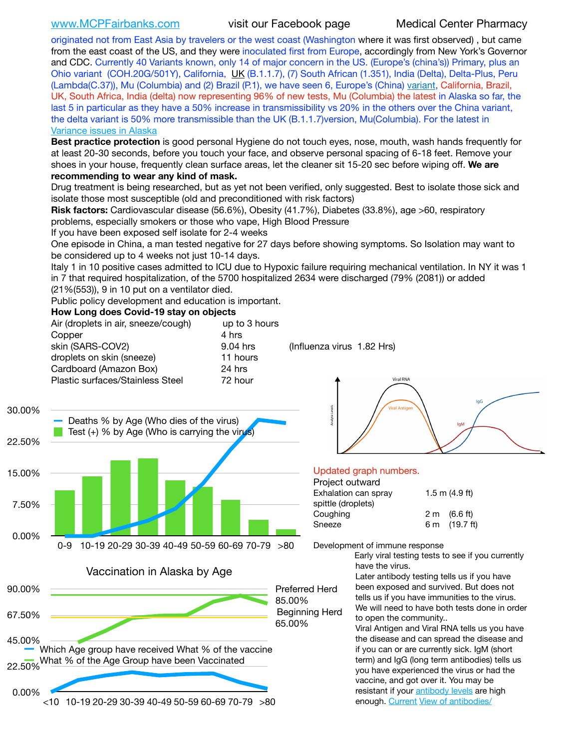[www.MCPFairbanks.com](http://www.MCPFairbanks.com) visit our Facebook page Medical Center Pharmacy

originated not from East Asia by travelers or the west coast (Washington where it was first observed) , but came from the east coast of the US, and they were inoculated first from Europe, accordingly from New York's Governor and CDC. Currently 40 Variants known, only 14 of major concern in the US. (Europe's (china's)) Primary, plus an Ohio variant (COH.20G/501Y), California, [UK](https://www.cdc.gov/coronavirus/2019-ncov/transmission/variant-cases.html) (B.1.1.7), (7) South African (1.351), India (Delta), Delta-Plus, Peru (Lambda(C.37)), Mu (Columbia) and (2) Brazil (P.1), we have seen 6, Europe's (China) [variant,](https://www.webmd.com/lung/news/20210318/cdc-who-create-threat-levels-for-covid-variants?ecd=wnl_cvd_031921&ctr=wnl-cvd-031921&mb=kYbf7DsHb7YGjh/1RUkcAW0T6iorImAU1TDZh18RYs0=_Support_titleLink_2) California, Brazil, UK, South Africa, India (delta) now representing 96% of new tests, Mu (Columbia) the latest in Alaska so far, the last 5 in particular as they have a 50% increase in transmissibility vs 20% in the others over the China variant, the delta variant is 50% more transmissible than the UK (B.1.1.7) version, Mu(Columbia). For the latest in [Variance issues in Alaska](https://lnks.gd/l/eyJhbGciOiJIUzI1NiJ9.eyJidWxsZXRpbl9saW5rX2lkIjoxMDgsInVyaSI6ImJwMjpjbGljayIsImJ1bGxldGluX2lkIjoiMjAyMTA4MDUuNDQxMzM4NzEiLCJ1cmwiOiJodHRwOi8vZGhzcy5hbGFza2EuZ292L2RwaC9FcGkvaWQvc2l0ZWFzc2V0cy9wYWdlcy9odW1hbmNvdi9BS1NlcUNvbl9HZW5vbWljU2l0dWF0aW9uUmVwb3J0LnBkZiJ9.wjCZc7vYm_CIgdjPTJyJ9ehoQjtub_KeZLTKgTIA69A/s/500544915/br/110405970878-l)

**Best practice protection** is good personal Hygiene do not touch eyes, nose, mouth, wash hands frequently for at least 20-30 seconds, before you touch your face, and observe personal spacing of 6-18 feet. Remove your shoes in your house, frequently clean surface areas, let the cleaner sit 15-20 sec before wiping off. **We are recommending to wear any kind of mask.**

Drug treatment is being researched, but as yet not been verified, only suggested. Best to isolate those sick and isolate those most susceptible (old and preconditioned with risk factors)

**Risk factors:** Cardiovascular disease (56.6%), Obesity (41.7%), Diabetes (33.8%), age >60, respiratory problems, especially smokers or those who vape, High Blood Pressure

If you have been exposed self isolate for 2-4 weeks

One episode in China, a man tested negative for 27 days before showing symptoms. So Isolation may want to be considered up to 4 weeks not just 10-14 days.

Italy 1 in 10 positive cases admitted to ICU due to Hypoxic failure requiring mechanical ventilation. In NY it was 1 in 7 that required hospitalization, of the 5700 hospitalized 2634 were discharged (79% (2081)) or added (21%(553)), 9 in 10 put on a ventilator died.

Public policy development and education is important.

### **How Long does Covid-19 stay on objects**

| Air (droplets in air, sneeze/cough) | up to 3 hours |
|-------------------------------------|---------------|
| Copper                              | 4 hrs         |
| skin (SARS-COV2)                    | 9.04 hrs      |
| droplets on skin (sneeze)           | 11 hours      |
| Cardboard (Amazon Box)              | 24 hrs        |
| Plastic surfaces/Stainless Steel    | 72 hour       |
|                                     |               |

(Influenza virus  $1.82$  Hrs)





### Updated graph numbers.

| Project outward      |                        |
|----------------------|------------------------|
| Exhalation can spray | $1.5$ m $(4.9$ ft)     |
| spittle (droplets)   |                        |
| Coughing             | $2 \text{ m}$ (6.6 ft) |
| Sneeze               | 6 m (19.7 ft)          |
|                      |                        |



Development of immune response

Early viral testing tests to see if you currently have the virus.

Later antibody testing tells us if you have been exposed and survived. But does not tells us if you have immunities to the virus. We will need to have both tests done in order to open the community..

Viral Antigen and Viral RNA tells us you have the disease and can spread the disease and if you can or are currently sick. IgM (short term) and IgG (long term antibodies) tells us you have experienced the virus or had the vaccine, and got over it. You may be resistant if your [antibody levels](https://www.cdc.gov/coronavirus/2019-ncov/lab/resources/antibody-tests.html) are high enough. [Current](https://l.facebook.com/l.php?u=https://www.itv.com/news/2020-10-26/covid-19-antibody-levels-reduce-over-time-study-finds?fbclid=IwAR3Dapzh1qIH1EIOdUQI2y8THf7jfA4KBCaJz8Qg-8xe1YsrR4nsAHDIXSY&h=AT30nut8pkqp0heVuz5W2rT2WFFm-2Ab52BsJxZZCNlGsX58IpPkuVEPULbIUV_M16MAukx1Kwb657DPXxsgDN1rpOQ4gqBtQsmVYiWpnHPJo2RQsU6CPMd14lgLnQnFWxfVi6zvmw&__tn__=-UK-R&c%5B0%5D=AT1GaRAfR_nGAyqcn7TI1-PpvqOqEKXHnz6TDWvRStMnOSH7boQDvTiwTOc6VId9UES6LKiOmm2m88wKCoolkJyOFvakt2Z1Mw8toYWGGoWW23r0MNVBl7cYJXB_UOvGklNHaNnaNr1_S7NhT3BSykNOBg) [View of antibodies/](https://www.livescience.com/antibodies.html)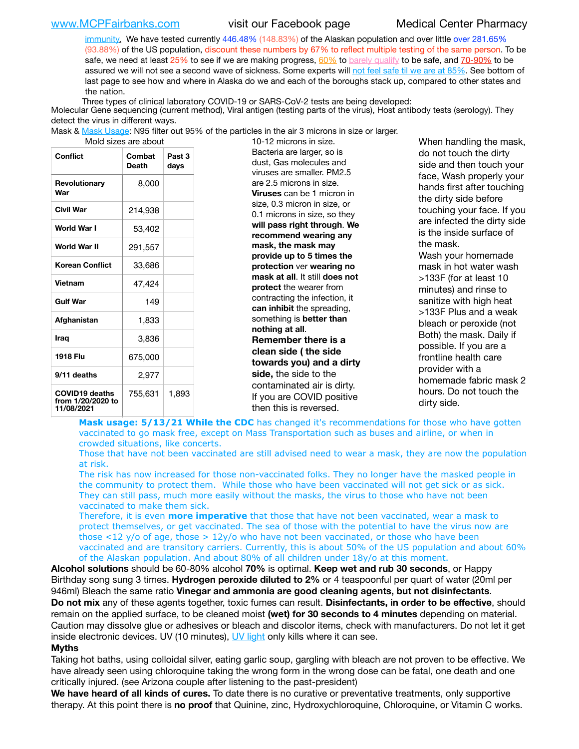[www.MCPFairbanks.com](http://www.MCPFairbanks.com) visit our Facebook page Medical Center Pharmacy

[immunity](https://www.livescience.com/antibodies.html)[.](https://www.itv.com/news/2020-10-26/covid-19-antibody-levels-reduce-over-time-study-finds) We have tested currently 446.48% (148.83%) of the Alaskan population and over little over 281.65% (93.88%) of the US population, discount these numbers by 67% to reflect multiple testing of the same person. To be safe, we need at least 25% to see if we are making progress, [60%](https://www.jhsph.edu/covid-19/articles/achieving-herd-immunity-with-covid19.html) to [barely qualify](https://www.nature.com/articles/d41586-020-02948-4) to be safe, and [70-90%](https://www.mayoclinic.org/herd-immunity-and-coronavirus/art-20486808) to be assured we will not see a second wave of sickness. Some experts will [not feel safe til we are at 85%](https://www.bannerhealth.com/healthcareblog/teach-me/what-is-herd-immunity). See bottom of last page to see how and where in Alaska do we and each of the boroughs stack up, compared to other states and the nation.

Three types of clinical laboratory COVID-19 or SARS-CoV-2 tests are being developed:

Molecular Gene sequencing (current method), Viral antigen (testing parts of the virus), Host antibody tests (serology). They detect the virus in different ways.

Mask & [Mask Usage:](https://www.nationalgeographic.com/history/2020/03/how-cities-flattened-curve-1918-spanish-flu-pandemic-coronavirus/) N95 filter out 95% of the particles in the air 3 microns in size or larger.

| Conflict                                                 | Combat<br>Death | Past 3<br>days |
|----------------------------------------------------------|-----------------|----------------|
| Revolutionary<br>War                                     | 8,000           |                |
| Civil War                                                | 214,938         |                |
| World War I                                              | 53,402          |                |
| World War II                                             | 291,557         |                |
| <b>Korean Conflict</b>                                   | 33,686          |                |
| Vietnam                                                  | 47,424          |                |
| <b>Gulf War</b>                                          | 149             |                |
| Afghanistan                                              | 1,833           |                |
| Iraq                                                     | 3,836           |                |
| 1918 Flu                                                 | 675,000         |                |
| 9/11 deaths                                              | 2,977           |                |
| <b>COVID19 deaths</b><br>from 1/20/2020 to<br>11/08/2021 | 755,631         | 1,893          |

10-12 microns in size. Bacteria are larger, so is dust, Gas molecules and viruses are smaller. PM2.5 are 2.5 microns in size. **Viruses** can be 1 micron in size, 0.3 micron in size, or 0.1 microns in size, so they **will pass right through**. **We recommend wearing any mask, the mask may provide up to 5 times the protection** ver **wearing no mask at all**. It still **does not protect** the wearer from contracting the infection, it **can inhibit** the spreading, something is **better than nothing at all**. **Remember there is a clean side ( the side towards you) and a dirty side,** the side to the contaminated air is dirty. If you are COVID positive then this is reversed.

When handling the mask, do not touch the dirty side and then touch your face, Wash properly your hands first after touching the dirty side before touching your face. If you are infected the dirty side is the inside surface of the mask. Wash your homemade mask in hot water wash >133F (for at least 10 minutes) and rinse to sanitize with high heat >133F Plus and a weak bleach or peroxide (not Both) the mask. Daily if possible. If you are a frontline health care provider with a homemade fabric mask 2 hours. Do not touch the dirty side.

**Mask usage: 5/13/21 While the CDC** has changed it's recommendations for those who have gotten vaccinated to go mask free, except on Mass Transportation such as buses and airline, or when in crowded situations, like concerts.

Those that have not been vaccinated are still advised need to wear a mask, they are now the population at risk.

The risk has now increased for those non-vaccinated folks. They no longer have the masked people in the community to protect them. While those who have been vaccinated will not get sick or as sick. They can still pass, much more easily without the masks, the virus to those who have not been vaccinated to make them sick.

Therefore, it is even **more imperative** that those that have not been vaccinated, wear a mask to protect themselves, or get vaccinated. The sea of those with the potential to have the virus now are those <12 y/o of age, those >  $12y$ /o who have not been vaccinated, or those who have been vaccinated and are transitory carriers. Currently, this is about 50% of the US population and about 60% of the Alaskan population. And about 80% of all children under 18y/o at this moment.

**Alcohol solutions** should be 60-80% alcohol **70%** is optimal. **Keep wet and rub 30 seconds**, or Happy Birthday song sung 3 times. **Hydrogen peroxide diluted to 2%** or 4 teaspoonful per quart of water (20ml per 946ml) Bleach the same ratio **Vinegar and ammonia are good cleaning agents, but not disinfectants**. **Do not mix** any of these agents together, toxic fumes can result. **Disinfectants, in order to be effective**, should remain on the applied surface, to be cleaned moist **(wet) for 30 seconds to 4 minutes** depending on material. Caution may dissolve glue or adhesives or bleach and discolor items, check with manufacturers. Do not let it get inside electronic devices. UV (10 minutes), [UV light](http://www.docreviews.me/best-uv-boxes-2020/?fbclid=IwAR3bvFtXB48OoBBSvYvTEnKuHNPbipxM6jUo82QUSw9wckxjC7wwRZWabGw) only kills where it can see.

### **Myths**

Taking hot baths, using colloidal silver, eating garlic soup, gargling with bleach are not proven to be effective. We have already seen using chloroquine taking the wrong form in the wrong dose can be fatal, one death and one critically injured. (see Arizona couple after listening to the past-president)

**We have heard of all kinds of cures.** To date there is no curative or preventative treatments, only supportive therapy. At this point there is **no proof** that Quinine, zinc, Hydroxychloroquine, Chloroquine, or Vitamin C works.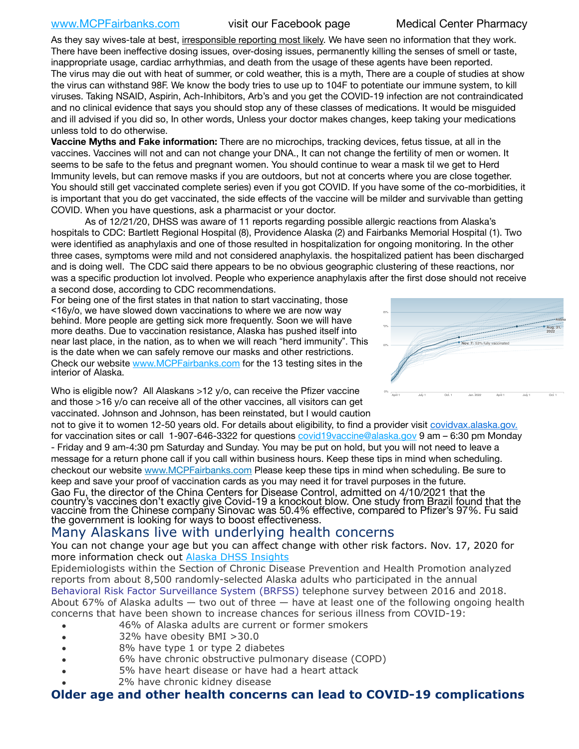## [www.MCPFairbanks.com](http://www.MCPFairbanks.com) visit our Facebook page Medical Center Pharmacy

As they say wives-tale at best, irresponsible reporting most likely. We have seen no information that they work. There have been ineffective dosing issues, over-dosing issues, permanently killing the senses of smell or taste, inappropriate usage, cardiac arrhythmias, and death from the usage of these agents have been reported. The virus may die out with heat of summer, or cold weather, this is a myth, There are a couple of studies at show the virus can withstand 98F. We know the body tries to use up to 104F to potentiate our immune system, to kill viruses. Taking NSAID, Aspirin, Ach-Inhibitors, Arb's and you get the COVID-19 infection are not contraindicated and no clinical evidence that says you should stop any of these classes of medications. It would be misguided and ill advised if you did so, In other words, Unless your doctor makes changes, keep taking your medications unless told to do otherwise.

**Vaccine Myths and Fake information:** There are no microchips, tracking devices, fetus tissue, at all in the vaccines. Vaccines will not and can not change your DNA., It can not change the fertility of men or women. It seems to be safe to the fetus and pregnant women. You should continue to wear a mask til we get to Herd Immunity levels, but can remove masks if you are outdoors, but not at concerts where you are close together. You should still get vaccinated complete series) even if you got COVID. If you have some of the co-morbidities, it is important that you do get vaccinated, the side effects of the vaccine will be milder and survivable than getting COVID. When you have questions, ask a pharmacist or your doctor.

As of 12/21/20, DHSS was aware of 11 reports regarding possible allergic reactions from Alaska's hospitals to CDC: Bartlett Regional Hospital (8), Providence Alaska (2) and Fairbanks Memorial Hospital (1). Two were identified as anaphylaxis and one of those resulted in hospitalization for ongoing monitoring. In the other three cases, symptoms were mild and not considered anaphylaxis. the hospitalized patient has been discharged and is doing well. The CDC said there appears to be no obvious geographic clustering of these reactions, nor was a specific production lot involved. People who experience anaphylaxis after the first dose should not receive a second dose, according to CDC recommendations. *Projections are based on each state's current rate of vaccination.*

For being one of the first states in that nation to start vaccinating, those <16y/o, we have slowed down vaccinations to where we are now way behind. More people are getting sick more frequently. Soon we will have more deaths. Due to vaccination resistance, Alaska has pushed itself into near last place, in the nation, as to when we will reach "herd immunity". This is the date when we can safely remove our masks and other restrictions. Check our website [www.MCPFairbanks.com](http://www.MCPFairbanks.com) for the 13 testing sites in the interior of Alaska.



Who is eligible now? All Alaskans >12 y/o, can receive the Pfizer vaccine and those >16 y/o can receive all of the other vaccines, all visitors can get vaccinated. Johnson and Johnson, has been reinstated, but I would caution

not to give it to women 12-50 years old. For details about eligibility, to find a provider visit [covidvax.alaska.gov.](https://lnks.gd/l/eyJhbGciOiJIUzI1NiJ9.eyJidWxsZXRpbl9saW5rX2lkIjoxMDYsInVyaSI6ImJwMjpjbGljayIsImJ1bGxldGluX2lkIjoiMjAyMTAxMjguMzQwODU3NjEiLCJ1cmwiOiJodHRwOi8vZGhzcy5hbGFza2EuZ292L2RwaC9FcGkvaWQvUGFnZXMvQ09WSUQtMTkvdmFjY2luZS5hc3B4In0.-Xwhl42jAWOMS7ewfS85uxwrwjohCso3Sb81DuDKtxU/s/500544915/br/93796640171-l) for vaccination sites or call 1-907-646-3322 for questions [covid19vaccine@alaska.gov](mailto:covid19vaccine@alaska.gov?subject=COVID19%20Vaccine%20questions) 9 am – 6:30 pm Monday - Friday and 9 am-4:30 pm Saturday and Sunday. You may be put on hold, but you will not need to leave a message for a return phone call if you call within business hours. Keep these tips in mind when scheduling. checkout our website [www.MCPFairbanks.com](http://www.MCPFairbanks.com) Please keep these tips in mind when scheduling. Be sure to keep and save your proof of vaccination cards as you may need it for travel purposes in the future. Gao Fu, the director of the China Centers for Disease Control, admitted on 4/10/2021 that the country's vaccines don't exactly give Covid-19 a knockout blow. One study from Brazil found that the vaccine from the Chinese company Sinovac was 50.4% effective, compared to Pfizer's 97%. Fu said the government is looking for ways to boost effectiveness.

# Many Alaskans live with underlying health concerns

You can not change your age but you can affect change with other risk factors. Nov. 17, 2020 for more information check out [Alaska DHSS Insights](http://dhss.alaska.gov/dph/Epi/id/Pages/COVID-19/blog/20201117.aspx)

Epidemiologists within the Section of Chronic Disease Prevention and Health Promotion analyzed reports from about 8,500 randomly-selected Alaska adults who participated in the annual [Behavioral Risk Factor Surveillance System \(BRFSS\)](http://dhss.alaska.gov/dph/Chronic/Pages/brfss/default.aspx) telephone survey between 2016 and 2018. About 67% of Alaska adults — two out of three — have at least one of the following ongoing health concerns that have been shown to increase chances for serious illness from COVID-19:

- 46% of Alaska adults are current or former smokers
- 32% have obesity BMI >30.0
- 8% have type 1 or type 2 diabetes
- 6% have chronic obstructive pulmonary disease (COPD)
- 5% have heart disease or have had a heart attack
- 2% have chronic kidney disease

# **Older age and other health concerns can lead to COVID-19 complications**